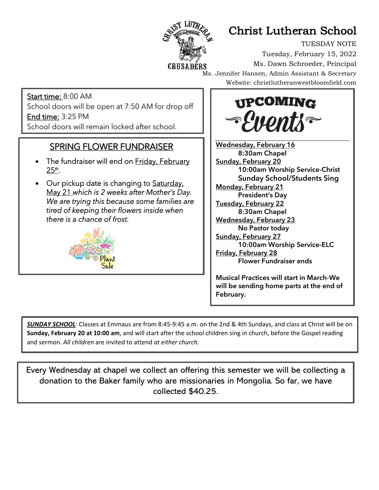

# Christ Lutheran School

TUESDAY NOTE Tuesday, February 15, 2022 Ms. Dawn Schroeder, Principal Ms. Jennifer Hansen, Admin Assistant & Secretary Website: christlutheranwestbloomfield.com

Start time: 8:00 AM School doors will be open at 7:50 AM for drop off End time: 3:25 PM School doors will remain locked after school.

#### SPRING FLOWER FUNDRAISER

Į

j

- The fundraiser will end on Friday, February 25th.
- Our pickup date is changing to Saturday, May 21 *which is 2 weeks after Mother's Day. We are trying this because some families are tired of keeping their flowers inside when there is a chance of frost.*





Wednesday, February 16 8:30am Chapel **Sunday, February 20** 10:00am Worship Service-Christ **Sunday School/Students Sing Monday, February 21** President's Day Tuesday, February 22 8:30am Chapel Wednesday, February 23 No Pastor today **Sunday, February 27** 10:00am Worship Service-ELC Friday, February 28 Flower Fundraiser ends

Musical Practices will start in March-We will be sending home parts at the end of February.

*SUNDAY SCHOOL:* Classes at Emmaus are from 8:45-9:45 a.m. on the 2nd & 4th Sundays, and class at Christ will be on **Sunday, February 20 at 10:00 am**, and will start after the school children sing in church, before the Gospel reading and sermon. *All children* are invited to attend *at either church.*

Every Wednesday at chapel we collect an offering this semester we will be collecting a donation to the Baker family who are missionaries in Mongolia. So far, we have collected \$40.25.